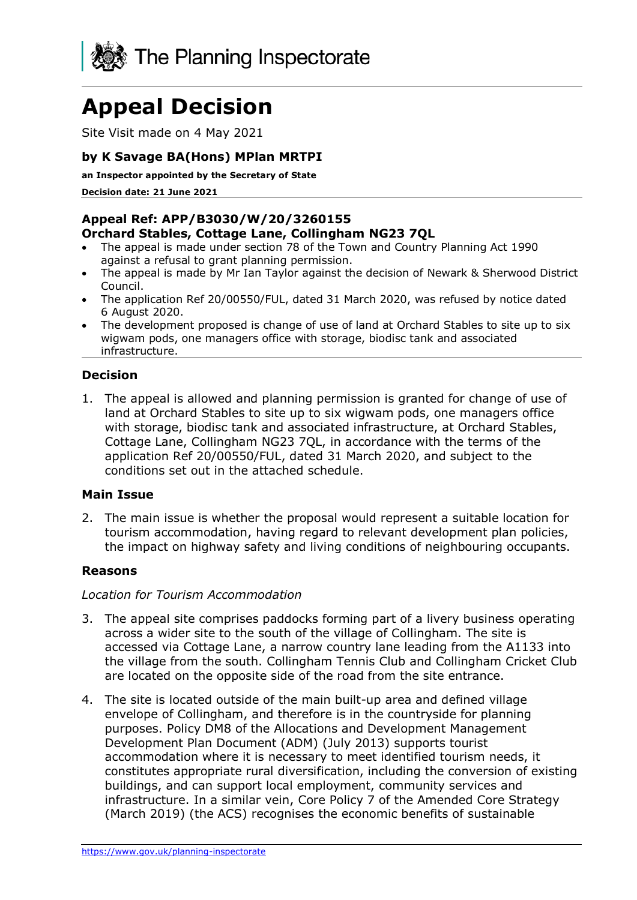

# **Appeal Decision**

Site Visit made on 4 May 2021

# **by K Savage BA(Hons) MPlan MRTPI**

**an Inspector appointed by the Secretary of State** 

**Decision date: 21 June 2021**

## **Appeal Ref: APP/B3030/W/20/3260155 Orchard Stables, Cottage Lane, Collingham NG23 7QL**

- The appeal is made under section 78 of the Town and Country Planning Act 1990 against a refusal to grant planning permission.
- The appeal is made by Mr Ian Taylor against the decision of Newark & Sherwood District Council.
- The application Ref 20/00550/FUL, dated 31 March 2020, was refused by notice dated 6 August 2020.
- The development proposed is change of use of land at Orchard Stables to site up to six wigwam pods, one managers office with storage, biodisc tank and associated infrastructure.

# **Decision**

1. The appeal is allowed and planning permission is granted for change of use of land at Orchard Stables to site up to six wigwam pods, one managers office with storage, biodisc tank and associated infrastructure, at Orchard Stables, Cottage Lane, Collingham NG23 7QL, in accordance with the terms of the application Ref 20/00550/FUL, dated 31 March 2020, and subject to the conditions set out in the attached schedule.

### **Main Issue**

2. The main issue is whether the proposal would represent a suitable location for tourism accommodation, having regard to relevant development plan policies, the impact on highway safety and living conditions of neighbouring occupants.

# **Reasons**

### *Location for Tourism Accommodation*

- 3. The appeal site comprises paddocks forming part of a livery business operating across a wider site to the south of the village of Collingham. The site is accessed via Cottage Lane, a narrow country lane leading from the A1133 into the village from the south. Collingham Tennis Club and Collingham Cricket Club are located on the opposite side of the road from the site entrance.
- 4. The site is located outside of the main built-up area and defined village envelope of Collingham, and therefore is in the countryside for planning purposes. Policy DM8 of the Allocations and Development Management Development Plan Document (ADM) (July 2013) supports tourist accommodation where it is necessary to meet identified tourism needs, it constitutes appropriate rural diversification, including the conversion of existing buildings, and can support local employment, community services and infrastructure. In a similar vein, Core Policy 7 of the Amended Core Strategy (March 2019) (the ACS) recognises the economic benefits of sustainable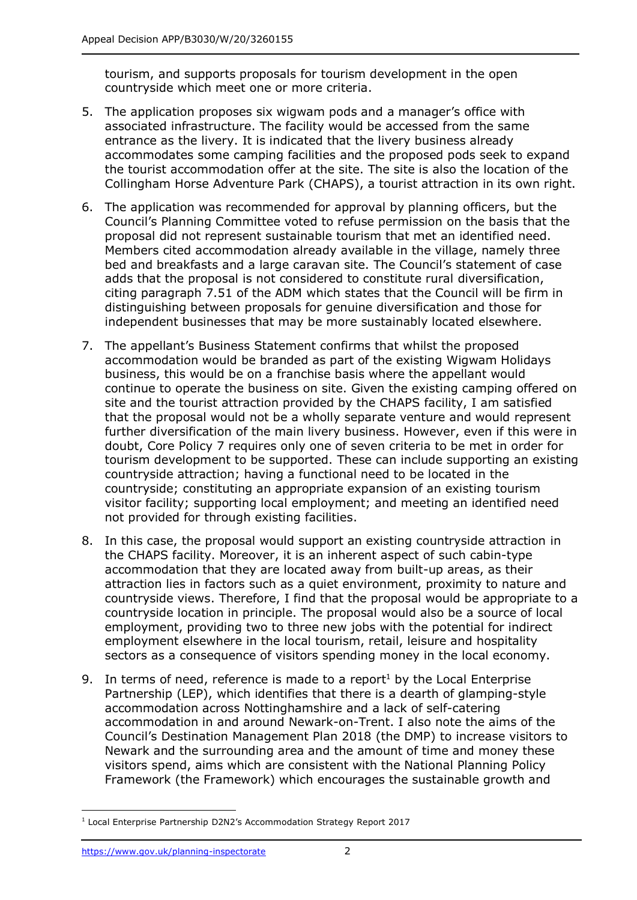tourism, and supports proposals for tourism development in the open countryside which meet one or more criteria.

- 5. The application proposes six wigwam pods and a manager's office with associated infrastructure. The facility would be accessed from the same entrance as the livery. It is indicated that the livery business already accommodates some camping facilities and the proposed pods seek to expand the tourist accommodation offer at the site. The site is also the location of the Collingham Horse Adventure Park (CHAPS), a tourist attraction in its own right.
- 6. The application was recommended for approval by planning officers, but the Council's Planning Committee voted to refuse permission on the basis that the proposal did not represent sustainable tourism that met an identified need. Members cited accommodation already available in the village, namely three bed and breakfasts and a large caravan site. The Council's statement of case adds that the proposal is not considered to constitute rural diversification, citing paragraph 7.51 of the ADM which states that the Council will be firm in distinguishing between proposals for genuine diversification and those for independent businesses that may be more sustainably located elsewhere.
- 7. The appellant's Business Statement confirms that whilst the proposed accommodation would be branded as part of the existing Wigwam Holidays business, this would be on a franchise basis where the appellant would continue to operate the business on site. Given the existing camping offered on site and the tourist attraction provided by the CHAPS facility, I am satisfied that the proposal would not be a wholly separate venture and would represent further diversification of the main livery business. However, even if this were in doubt, Core Policy 7 requires only one of seven criteria to be met in order for tourism development to be supported. These can include supporting an existing countryside attraction; having a functional need to be located in the countryside; constituting an appropriate expansion of an existing tourism visitor facility; supporting local employment; and meeting an identified need not provided for through existing facilities.
- 8. In this case, the proposal would support an existing countryside attraction in the CHAPS facility. Moreover, it is an inherent aspect of such cabin-type accommodation that they are located away from built-up areas, as their attraction lies in factors such as a quiet environment, proximity to nature and countryside views. Therefore, I find that the proposal would be appropriate to a countryside location in principle. The proposal would also be a source of local employment, providing two to three new jobs with the potential for indirect employment elsewhere in the local tourism, retail, leisure and hospitality sectors as a consequence of visitors spending money in the local economy.
- 9. In terms of need, reference is made to a report<sup>1</sup> by the Local Enterprise Partnership (LEP), which identifies that there is a dearth of glamping-style accommodation across Nottinghamshire and a lack of self-catering accommodation in and around Newark-on-Trent. I also note the aims of the Council's Destination Management Plan 2018 (the DMP) to increase visitors to Newark and the surrounding area and the amount of time and money these visitors spend, aims which are consistent with the National Planning Policy Framework (the Framework) which encourages the sustainable growth and

<sup>&</sup>lt;sup>1</sup> Local Enterprise Partnership D2N2's Accommodation Strategy Report 2017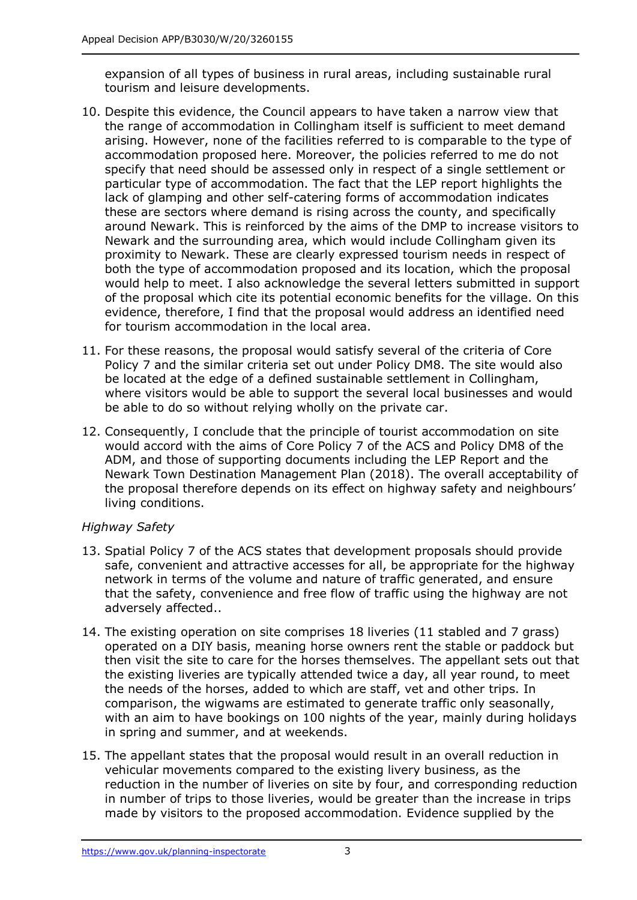expansion of all types of business in rural areas, including sustainable rural tourism and leisure developments.

- 10. Despite this evidence, the Council appears to have taken a narrow view that the range of accommodation in Collingham itself is sufficient to meet demand arising. However, none of the facilities referred to is comparable to the type of accommodation proposed here. Moreover, the policies referred to me do not specify that need should be assessed only in respect of a single settlement or particular type of accommodation. The fact that the LEP report highlights the lack of glamping and other self-catering forms of accommodation indicates these are sectors where demand is rising across the county, and specifically around Newark. This is reinforced by the aims of the DMP to increase visitors to Newark and the surrounding area, which would include Collingham given its proximity to Newark. These are clearly expressed tourism needs in respect of both the type of accommodation proposed and its location, which the proposal would help to meet. I also acknowledge the several letters submitted in support of the proposal which cite its potential economic benefits for the village. On this evidence, therefore, I find that the proposal would address an identified need for tourism accommodation in the local area.
- 11. For these reasons, the proposal would satisfy several of the criteria of Core Policy 7 and the similar criteria set out under Policy DM8. The site would also be located at the edge of a defined sustainable settlement in Collingham, where visitors would be able to support the several local businesses and would be able to do so without relying wholly on the private car.
- 12. Consequently, I conclude that the principle of tourist accommodation on site would accord with the aims of Core Policy 7 of the ACS and Policy DM8 of the ADM, and those of supporting documents including the LEP Report and the Newark Town Destination Management Plan (2018). The overall acceptability of the proposal therefore depends on its effect on highway safety and neighbours' living conditions.

# *Highway Safety*

- 13. Spatial Policy 7 of the ACS states that development proposals should provide safe, convenient and attractive accesses for all, be appropriate for the highway network in terms of the volume and nature of traffic generated, and ensure that the safety, convenience and free flow of traffic using the highway are not adversely affected..
- 14. The existing operation on site comprises 18 liveries (11 stabled and 7 grass) operated on a DIY basis, meaning horse owners rent the stable or paddock but then visit the site to care for the horses themselves. The appellant sets out that the existing liveries are typically attended twice a day, all year round, to meet the needs of the horses, added to which are staff, vet and other trips. In comparison, the wigwams are estimated to generate traffic only seasonally, with an aim to have bookings on 100 nights of the year, mainly during holidays in spring and summer, and at weekends.
- 15. The appellant states that the proposal would result in an overall reduction in vehicular movements compared to the existing livery business, as the reduction in the number of liveries on site by four, and corresponding reduction in number of trips to those liveries, would be greater than the increase in trips made by visitors to the proposed accommodation. Evidence supplied by the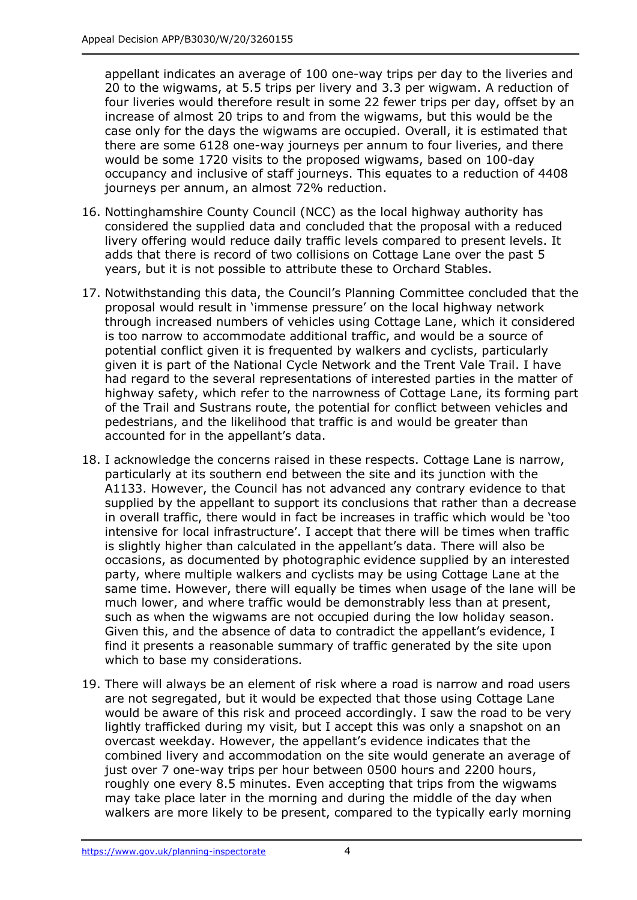appellant indicates an average of 100 one-way trips per day to the liveries and 20 to the wigwams, at 5.5 trips per livery and 3.3 per wigwam. A reduction of four liveries would therefore result in some 22 fewer trips per day, offset by an increase of almost 20 trips to and from the wigwams, but this would be the case only for the days the wigwams are occupied. Overall, it is estimated that there are some 6128 one-way journeys per annum to four liveries, and there would be some 1720 visits to the proposed wigwams, based on 100-day occupancy and inclusive of staff journeys. This equates to a reduction of 4408 journeys per annum, an almost 72% reduction.

- 16. Nottinghamshire County Council (NCC) as the local highway authority has considered the supplied data and concluded that the proposal with a reduced livery offering would reduce daily traffic levels compared to present levels. It adds that there is record of two collisions on Cottage Lane over the past 5 years, but it is not possible to attribute these to Orchard Stables.
- 17. Notwithstanding this data, the Council's Planning Committee concluded that the proposal would result in 'immense pressure' on the local highway network through increased numbers of vehicles using Cottage Lane, which it considered is too narrow to accommodate additional traffic, and would be a source of potential conflict given it is frequented by walkers and cyclists, particularly given it is part of the National Cycle Network and the Trent Vale Trail. I have had regard to the several representations of interested parties in the matter of highway safety, which refer to the narrowness of Cottage Lane, its forming part of the Trail and Sustrans route, the potential for conflict between vehicles and pedestrians, and the likelihood that traffic is and would be greater than accounted for in the appellant's data.
- 18. I acknowledge the concerns raised in these respects. Cottage Lane is narrow, particularly at its southern end between the site and its junction with the A1133. However, the Council has not advanced any contrary evidence to that supplied by the appellant to support its conclusions that rather than a decrease in overall traffic, there would in fact be increases in traffic which would be 'too intensive for local infrastructure'. I accept that there will be times when traffic is slightly higher than calculated in the appellant's data. There will also be occasions, as documented by photographic evidence supplied by an interested party, where multiple walkers and cyclists may be using Cottage Lane at the same time. However, there will equally be times when usage of the lane will be much lower, and where traffic would be demonstrably less than at present, such as when the wigwams are not occupied during the low holiday season. Given this, and the absence of data to contradict the appellant's evidence, I find it presents a reasonable summary of traffic generated by the site upon which to base my considerations.
- 19. There will always be an element of risk where a road is narrow and road users are not segregated, but it would be expected that those using Cottage Lane would be aware of this risk and proceed accordingly. I saw the road to be very lightly trafficked during my visit, but I accept this was only a snapshot on an overcast weekday. However, the appellant's evidence indicates that the combined livery and accommodation on the site would generate an average of just over 7 one-way trips per hour between 0500 hours and 2200 hours, roughly one every 8.5 minutes. Even accepting that trips from the wigwams may take place later in the morning and during the middle of the day when walkers are more likely to be present, compared to the typically early morning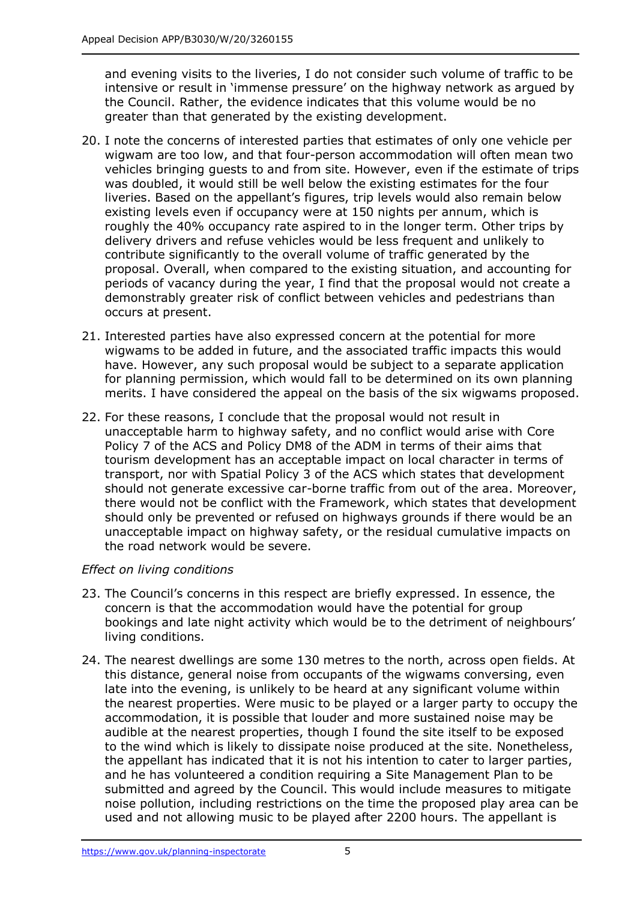and evening visits to the liveries, I do not consider such volume of traffic to be intensive or result in 'immense pressure' on the highway network as argued by the Council. Rather, the evidence indicates that this volume would be no greater than that generated by the existing development.

- 20. I note the concerns of interested parties that estimates of only one vehicle per wigwam are too low, and that four-person accommodation will often mean two vehicles bringing guests to and from site. However, even if the estimate of trips was doubled, it would still be well below the existing estimates for the four liveries. Based on the appellant's figures, trip levels would also remain below existing levels even if occupancy were at 150 nights per annum, which is roughly the 40% occupancy rate aspired to in the longer term. Other trips by delivery drivers and refuse vehicles would be less frequent and unlikely to contribute significantly to the overall volume of traffic generated by the proposal. Overall, when compared to the existing situation, and accounting for periods of vacancy during the year, I find that the proposal would not create a demonstrably greater risk of conflict between vehicles and pedestrians than occurs at present.
- 21. Interested parties have also expressed concern at the potential for more wigwams to be added in future, and the associated traffic impacts this would have. However, any such proposal would be subject to a separate application for planning permission, which would fall to be determined on its own planning merits. I have considered the appeal on the basis of the six wigwams proposed.
- 22. For these reasons, I conclude that the proposal would not result in unacceptable harm to highway safety, and no conflict would arise with Core Policy 7 of the ACS and Policy DM8 of the ADM in terms of their aims that tourism development has an acceptable impact on local character in terms of transport, nor with Spatial Policy 3 of the ACS which states that development should not generate excessive car-borne traffic from out of the area. Moreover, there would not be conflict with the Framework, which states that development should only be prevented or refused on highways grounds if there would be an unacceptable impact on highway safety, or the residual cumulative impacts on the road network would be severe.

# *Effect on living conditions*

- 23. The Council's concerns in this respect are briefly expressed. In essence, the concern is that the accommodation would have the potential for group bookings and late night activity which would be to the detriment of neighbours' living conditions.
- 24. The nearest dwellings are some 130 metres to the north, across open fields. At this distance, general noise from occupants of the wigwams conversing, even late into the evening, is unlikely to be heard at any significant volume within the nearest properties. Were music to be played or a larger party to occupy the accommodation, it is possible that louder and more sustained noise may be audible at the nearest properties, though I found the site itself to be exposed to the wind which is likely to dissipate noise produced at the site. Nonetheless, the appellant has indicated that it is not his intention to cater to larger parties, and he has volunteered a condition requiring a Site Management Plan to be submitted and agreed by the Council. This would include measures to mitigate noise pollution, including restrictions on the time the proposed play area can be used and not allowing music to be played after 2200 hours. The appellant is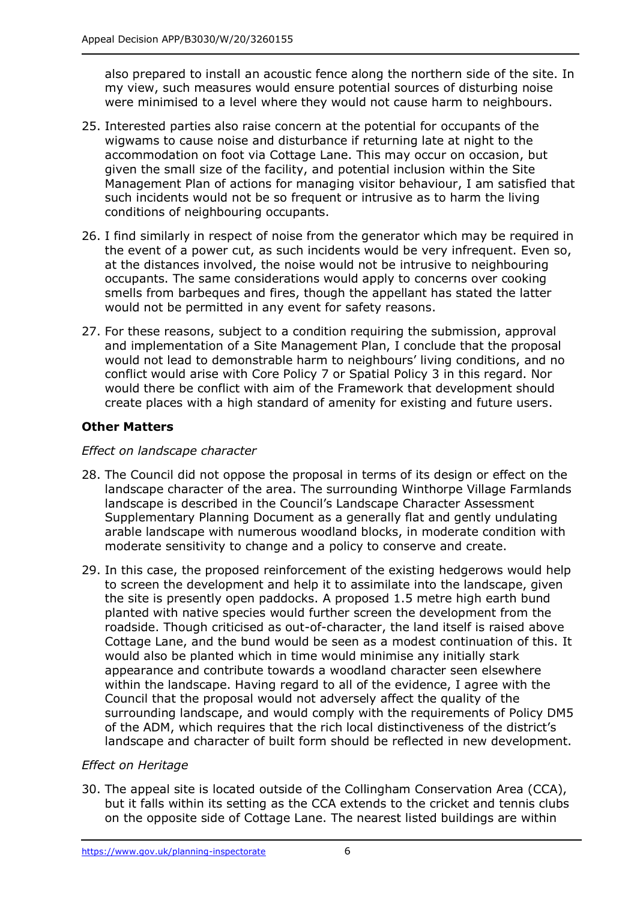also prepared to install an acoustic fence along the northern side of the site. In my view, such measures would ensure potential sources of disturbing noise were minimised to a level where they would not cause harm to neighbours.

- 25. Interested parties also raise concern at the potential for occupants of the wigwams to cause noise and disturbance if returning late at night to the accommodation on foot via Cottage Lane. This may occur on occasion, but given the small size of the facility, and potential inclusion within the Site Management Plan of actions for managing visitor behaviour, I am satisfied that such incidents would not be so frequent or intrusive as to harm the living conditions of neighbouring occupants.
- 26. I find similarly in respect of noise from the generator which may be required in the event of a power cut, as such incidents would be very infrequent. Even so, at the distances involved, the noise would not be intrusive to neighbouring occupants. The same considerations would apply to concerns over cooking smells from barbeques and fires, though the appellant has stated the latter would not be permitted in any event for safety reasons.
- 27. For these reasons, subject to a condition requiring the submission, approval and implementation of a Site Management Plan, I conclude that the proposal would not lead to demonstrable harm to neighbours' living conditions, and no conflict would arise with Core Policy 7 or Spatial Policy 3 in this regard. Nor would there be conflict with aim of the Framework that development should create places with a high standard of amenity for existing and future users.

# **Other Matters**

# *Effect on landscape character*

- 28. The Council did not oppose the proposal in terms of its design or effect on the landscape character of the area. The surrounding Winthorpe Village Farmlands landscape is described in the Council's Landscape Character Assessment Supplementary Planning Document as a generally flat and gently undulating arable landscape with numerous woodland blocks, in moderate condition with moderate sensitivity to change and a policy to conserve and create.
- 29. In this case, the proposed reinforcement of the existing hedgerows would help to screen the development and help it to assimilate into the landscape, given the site is presently open paddocks. A proposed 1.5 metre high earth bund planted with native species would further screen the development from the roadside. Though criticised as out-of-character, the land itself is raised above Cottage Lane, and the bund would be seen as a modest continuation of this. It would also be planted which in time would minimise any initially stark appearance and contribute towards a woodland character seen elsewhere within the landscape. Having regard to all of the evidence, I agree with the Council that the proposal would not adversely affect the quality of the surrounding landscape, and would comply with the requirements of Policy DM5 of the ADM, which requires that the rich local distinctiveness of the district's landscape and character of built form should be reflected in new development.

# *Effect on Heritage*

30. The appeal site is located outside of the Collingham Conservation Area (CCA), but it falls within its setting as the CCA extends to the cricket and tennis clubs on the opposite side of Cottage Lane. The nearest listed buildings are within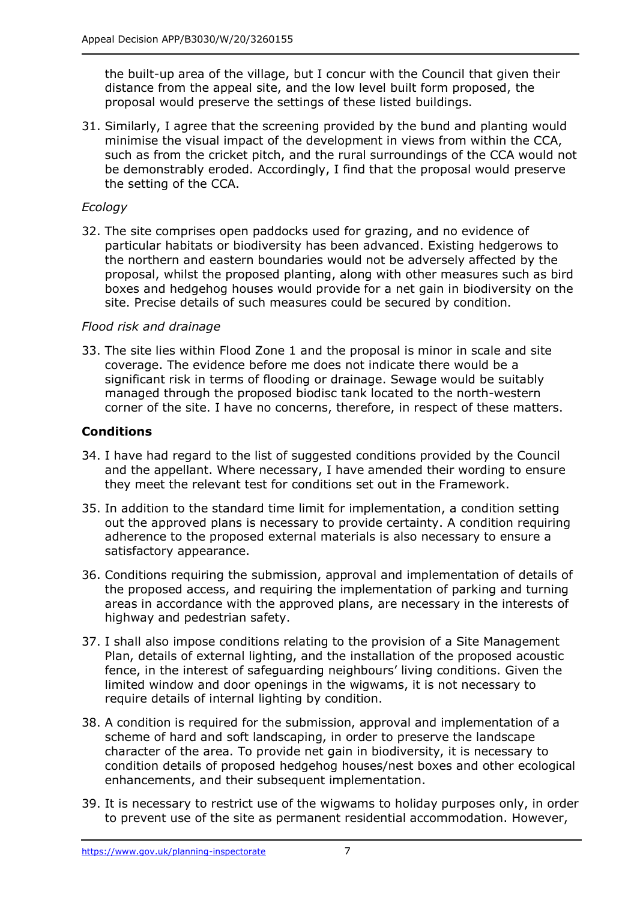the built-up area of the village, but I concur with the Council that given their distance from the appeal site, and the low level built form proposed, the proposal would preserve the settings of these listed buildings.

31. Similarly, I agree that the screening provided by the bund and planting would minimise the visual impact of the development in views from within the CCA, such as from the cricket pitch, and the rural surroundings of the CCA would not be demonstrably eroded. Accordingly, I find that the proposal would preserve the setting of the CCA.

## *Ecology*

32. The site comprises open paddocks used for grazing, and no evidence of particular habitats or biodiversity has been advanced. Existing hedgerows to the northern and eastern boundaries would not be adversely affected by the proposal, whilst the proposed planting, along with other measures such as bird boxes and hedgehog houses would provide for a net gain in biodiversity on the site. Precise details of such measures could be secured by condition.

### *Flood risk and drainage*

33. The site lies within Flood Zone 1 and the proposal is minor in scale and site coverage. The evidence before me does not indicate there would be a significant risk in terms of flooding or drainage. Sewage would be suitably managed through the proposed biodisc tank located to the north-western corner of the site. I have no concerns, therefore, in respect of these matters.

## **Conditions**

- 34. I have had regard to the list of suggested conditions provided by the Council and the appellant. Where necessary, I have amended their wording to ensure they meet the relevant test for conditions set out in the Framework.
- 35. In addition to the standard time limit for implementation, a condition setting out the approved plans is necessary to provide certainty. A condition requiring adherence to the proposed external materials is also necessary to ensure a satisfactory appearance.
- 36. Conditions requiring the submission, approval and implementation of details of the proposed access, and requiring the implementation of parking and turning areas in accordance with the approved plans, are necessary in the interests of highway and pedestrian safety.
- 37. I shall also impose conditions relating to the provision of a Site Management Plan, details of external lighting, and the installation of the proposed acoustic fence, in the interest of safeguarding neighbours' living conditions. Given the limited window and door openings in the wigwams, it is not necessary to require details of internal lighting by condition.
- 38. A condition is required for the submission, approval and implementation of a scheme of hard and soft landscaping, in order to preserve the landscape character of the area. To provide net gain in biodiversity, it is necessary to condition details of proposed hedgehog houses/nest boxes and other ecological enhancements, and their subsequent implementation.
- 39. It is necessary to restrict use of the wigwams to holiday purposes only, in order to prevent use of the site as permanent residential accommodation. However,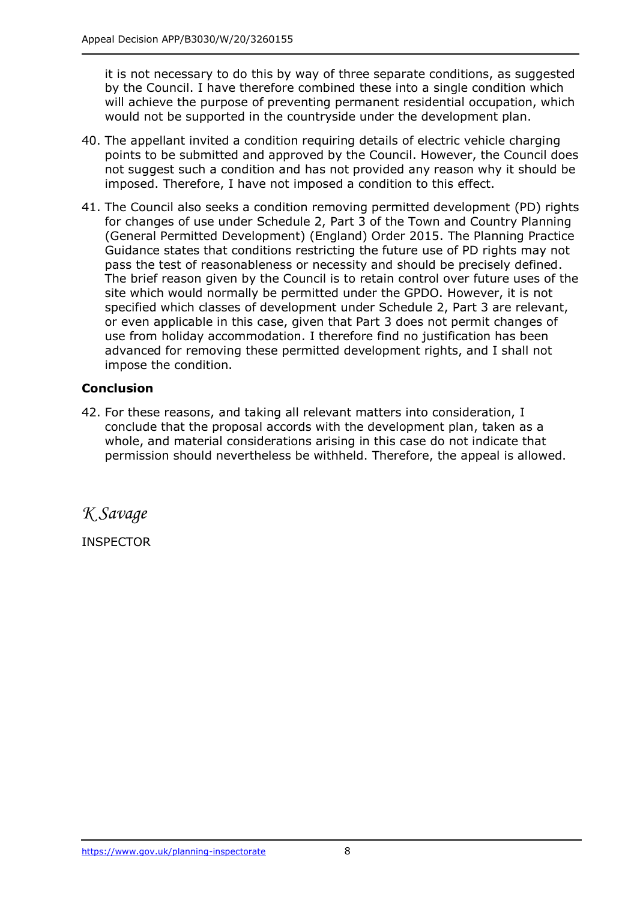it is not necessary to do this by way of three separate conditions, as suggested by the Council. I have therefore combined these into a single condition which will achieve the purpose of preventing permanent residential occupation, which would not be supported in the countryside under the development plan.

- 40. The appellant invited a condition requiring details of electric vehicle charging points to be submitted and approved by the Council. However, the Council does not suggest such a condition and has not provided any reason why it should be imposed. Therefore, I have not imposed a condition to this effect.
- 41. The Council also seeks a condition removing permitted development (PD) rights for changes of use under Schedule 2, Part 3 of the Town and Country Planning (General Permitted Development) (England) Order 2015. The Planning Practice Guidance states that conditions restricting the future use of PD rights may not pass the test of reasonableness or necessity and should be precisely defined. The brief reason given by the Council is to retain control over future uses of the site which would normally be permitted under the GPDO. However, it is not specified which classes of development under Schedule 2, Part 3 are relevant, or even applicable in this case, given that Part 3 does not permit changes of use from holiday accommodation. I therefore find no justification has been advanced for removing these permitted development rights, and I shall not impose the condition.

# **Conclusion**

42. For these reasons, and taking all relevant matters into consideration, I conclude that the proposal accords with the development plan, taken as a whole, and material considerations arising in this case do not indicate that permission should nevertheless be withheld. Therefore, the appeal is allowed.

*K Savage*

INSPECTOR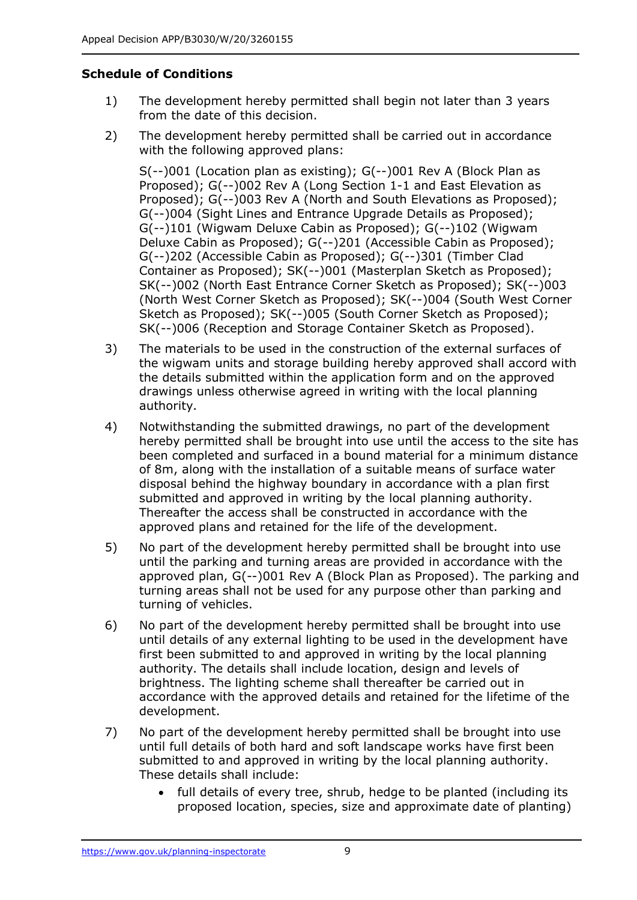# **Schedule of Conditions**

- 1) The development hereby permitted shall begin not later than 3 years from the date of this decision.
- 2) The development hereby permitted shall be carried out in accordance with the following approved plans:

S(--)001 (Location plan as existing); G(--)001 Rev A (Block Plan as Proposed); G(--)002 Rev A (Long Section 1-1 and East Elevation as Proposed); G(--)003 Rev A (North and South Elevations as Proposed); G(--)004 (Sight Lines and Entrance Upgrade Details as Proposed); G(--)101 (Wigwam Deluxe Cabin as Proposed); G(--)102 (Wigwam Deluxe Cabin as Proposed); G(--)201 (Accessible Cabin as Proposed); G(--)202 (Accessible Cabin as Proposed); G(--)301 (Timber Clad Container as Proposed); SK(--)001 (Masterplan Sketch as Proposed); SK(--)002 (North East Entrance Corner Sketch as Proposed); SK(--)003 (North West Corner Sketch as Proposed); SK(--)004 (South West Corner Sketch as Proposed); SK(--)005 (South Corner Sketch as Proposed); SK(--)006 (Reception and Storage Container Sketch as Proposed).

- 3) The materials to be used in the construction of the external surfaces of the wigwam units and storage building hereby approved shall accord with the details submitted within the application form and on the approved drawings unless otherwise agreed in writing with the local planning authority.
- 4) Notwithstanding the submitted drawings, no part of the development hereby permitted shall be brought into use until the access to the site has been completed and surfaced in a bound material for a minimum distance of 8m, along with the installation of a suitable means of surface water disposal behind the highway boundary in accordance with a plan first submitted and approved in writing by the local planning authority. Thereafter the access shall be constructed in accordance with the approved plans and retained for the life of the development.
- 5) No part of the development hereby permitted shall be brought into use until the parking and turning areas are provided in accordance with the approved plan, G(--)001 Rev A (Block Plan as Proposed). The parking and turning areas shall not be used for any purpose other than parking and turning of vehicles.
- 6) No part of the development hereby permitted shall be brought into use until details of any external lighting to be used in the development have first been submitted to and approved in writing by the local planning authority. The details shall include location, design and levels of brightness. The lighting scheme shall thereafter be carried out in accordance with the approved details and retained for the lifetime of the development.
- 7) No part of the development hereby permitted shall be brought into use until full details of both hard and soft landscape works have first been submitted to and approved in writing by the local planning authority. These details shall include:
	- full details of every tree, shrub, hedge to be planted (including its proposed location, species, size and approximate date of planting)